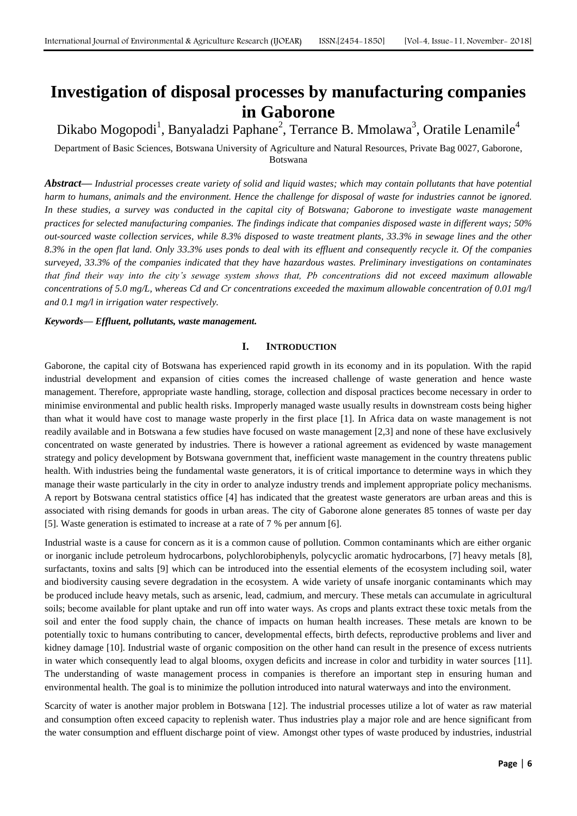# **Investigation of disposal processes by manufacturing companies in Gaborone**

Dikabo Mogopodi<sup>1</sup>, Banyaladzi Paphane<sup>2</sup>, Terrance B. Mmolawa<sup>3</sup>, Oratile Lenamile<sup>4</sup>

Department of Basic Sciences, Botswana University of Agriculture and Natural Resources, Private Bag 0027, Gaborone, Botswana

*Abstract***—** *Industrial processes create variety of solid and liquid wastes; which may contain pollutants that have potential harm to humans, animals and the environment. Hence the challenge for disposal of waste for industries cannot be ignored. In these studies, a survey was conducted in the capital city of Botswana; Gaborone to investigate waste management practices for selected manufacturing companies. The findings indicate that companies disposed waste in different ways; 50% out-sourced waste collection services, while 8.3% disposed to waste treatment plants, 33.3% in sewage lines and the other 8.3% in the open flat land. Only 33.3% uses ponds to deal with its effluent and consequently recycle it. Of the companies surveyed, 33.3% of the companies indicated that they have hazardous wastes. Preliminary investigations on contaminates that find their way into the city's sewage system shows that, Pb concentrations did not exceed maximum allowable concentrations of 5.0 mg/L, whereas Cd and Cr concentrations exceeded the maximum allowable concentration of 0.01 mg/l and 0.1 mg/l in irrigation water respectively.*

*Keywords***—** *Effluent, pollutants, waste management.*

# **I. INTRODUCTION**

Gaborone, the capital city of Botswana has experienced rapid growth in its economy and in its population. With the rapid industrial development and expansion of cities comes the increased challenge of waste generation and hence waste management. Therefore, appropriate waste handling, storage, collection and disposal practices become necessary in order to minimise environmental and public health risks. Improperly managed waste usually results in downstream costs being higher than what it would have cost to manage waste properly in the first place [1]. In Africa data on waste management is not readily available and in Botswana a few studies have focused on waste management [2,3] and none of these have exclusively concentrated on waste generated by industries. There is however a rational agreement as evidenced by waste management strategy and policy development by Botswana government that, inefficient waste management in the country threatens public health. With industries being the fundamental waste generators, it is of critical importance to determine ways in which they manage their waste particularly in the city in order to analyze industry trends and implement appropriate policy mechanisms. A report by Botswana central statistics office [4] has indicated that the greatest waste generators are urban areas and this is associated with rising demands for goods in urban areas. The city of Gaborone alone generates 85 tonnes of waste per day [5]. Waste generation is estimated to increase at a rate of 7 % per annum [6].

Industrial waste is a cause for concern as it is a common cause of pollution. Common contaminants which are either organic or inorganic include petroleum hydrocarbons, polychlorobiphenyls, polycyclic aromatic hydrocarbons, [7] heavy metals [8], surfactants, toxins and salts [9] which can be introduced into the essential elements of the ecosystem including soil, water and biodiversity causing severe degradation in the ecosystem. A wide variety of unsafe inorganic contaminants which may be produced include heavy metals, such as arsenic, lead, cadmium, and mercury. These metals can accumulate in agricultural soils; become available for plant uptake and run off into water ways. As crops and plants extract these toxic metals from the soil and enter the food supply chain, the chance of impacts on human health increases. These metals are known to be potentially toxic to humans contributing to cancer, developmental effects, birth defects, reproductive problems and liver and kidney damage [10]. Industrial waste of organic composition on the other hand can result in the presence of excess nutrients in water which consequently lead to algal blooms, oxygen deficits and increase in color and turbidity in water sources [11]. The understanding of waste management process in companies is therefore an important step in ensuring human and environmental health. The goal is to minimize the pollution introduced into natural waterways and into the environment.

Scarcity of water is another major problem in Botswana [12]. The industrial processes utilize a lot of water as raw material and consumption often exceed capacity to replenish water. Thus industries play a major role and are hence significant from the water consumption and effluent discharge point of view. Amongst other types of waste produced by industries, industrial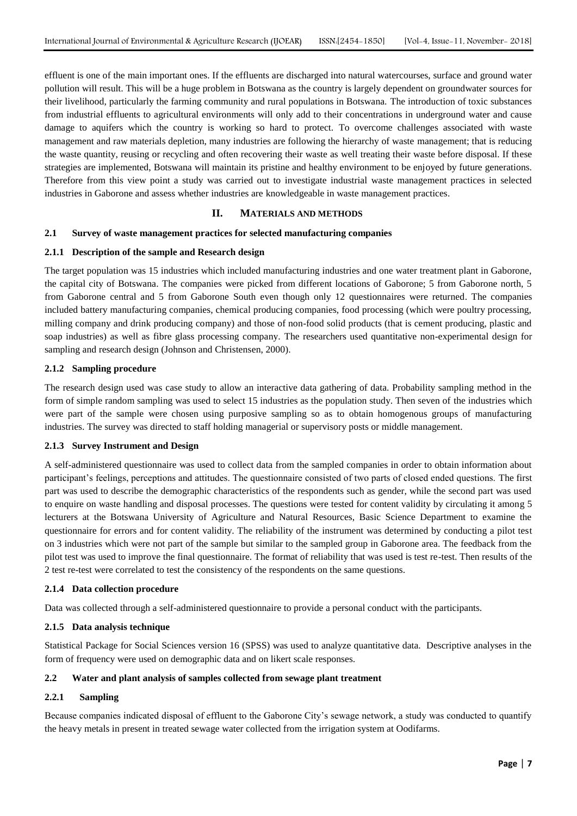effluent is one of the main important ones. If the effluents are discharged into natural watercourses, surface and ground water pollution will result. This will be a huge problem in Botswana as the country is largely dependent on groundwater sources for their livelihood, particularly the farming community and rural populations in Botswana. The introduction of toxic substances from industrial effluents to agricultural environments will only add to their concentrations in underground water and cause damage to aquifers which the country is working so hard to protect. To overcome challenges associated with waste management and raw materials depletion, many industries are following the hierarchy of waste management; that is reducing the waste quantity, reusing or recycling and often recovering their waste as well treating their waste before disposal. If these strategies are implemented, Botswana will maintain its pristine and healthy environment to be enjoyed by future generations. Therefore from this view point a study was carried out to investigate industrial waste management practices in selected industries in Gaborone and assess whether industries are knowledgeable in waste management practices.

## **II. MATERIALS AND METHODS**

## **2.1 Survey of waste management practices for selected manufacturing companies**

#### **2.1.1 Description of the sample and Research design**

The target population was 15 industries which included manufacturing industries and one water treatment plant in Gaborone, the capital city of Botswana. The companies were picked from different locations of Gaborone; 5 from Gaborone north, 5 from Gaborone central and 5 from Gaborone South even though only 12 questionnaires were returned. The companies included battery manufacturing companies, chemical producing companies, food processing (which were poultry processing, milling company and drink producing company) and those of non-food solid products (that is cement producing, plastic and soap industries) as well as fibre glass processing company. The researchers used quantitative non-experimental design for sampling and research design (Johnson and Christensen, 2000).

#### **2.1.2 Sampling procedure**

The research design used was case study to allow an interactive data gathering of data. Probability sampling method in the form of simple random sampling was used to select 15 industries as the population study. Then seven of the industries which were part of the sample were chosen using purposive sampling so as to obtain homogenous groups of manufacturing industries. The survey was directed to staff holding managerial or supervisory posts or middle management.

#### **2.1.3 Survey Instrument and Design**

A self-administered questionnaire was used to collect data from the sampled companies in order to obtain information about participant's feelings, perceptions and attitudes. The questionnaire consisted of two parts of closed ended questions. The first part was used to describe the demographic characteristics of the respondents such as gender, while the second part was used to enquire on waste handling and disposal processes. The questions were tested for content validity by circulating it among 5 lecturers at the Botswana University of Agriculture and Natural Resources, Basic Science Department to examine the questionnaire for errors and for content validity. The reliability of the instrument was determined by conducting a pilot test on 3 industries which were not part of the sample but similar to the sampled group in Gaborone area. The feedback from the pilot test was used to improve the final questionnaire. The format of reliability that was used is test re-test. Then results of the 2 test re-test were correlated to test the consistency of the respondents on the same questions.

#### **2.1.4 Data collection procedure**

Data was collected through a self-administered questionnaire to provide a personal conduct with the participants.

#### **2.1.5 Data analysis technique**

Statistical Package for Social Sciences version 16 (SPSS) was used to analyze quantitative data. Descriptive analyses in the form of frequency were used on demographic data and on likert scale responses.

# **2.2 Water and plant analysis of samples collected from sewage plant treatment**

# **2.2.1 Sampling**

Because companies indicated disposal of effluent to the Gaborone City's sewage network, a study was conducted to quantify the heavy metals in present in treated sewage water collected from the irrigation system at Oodifarms.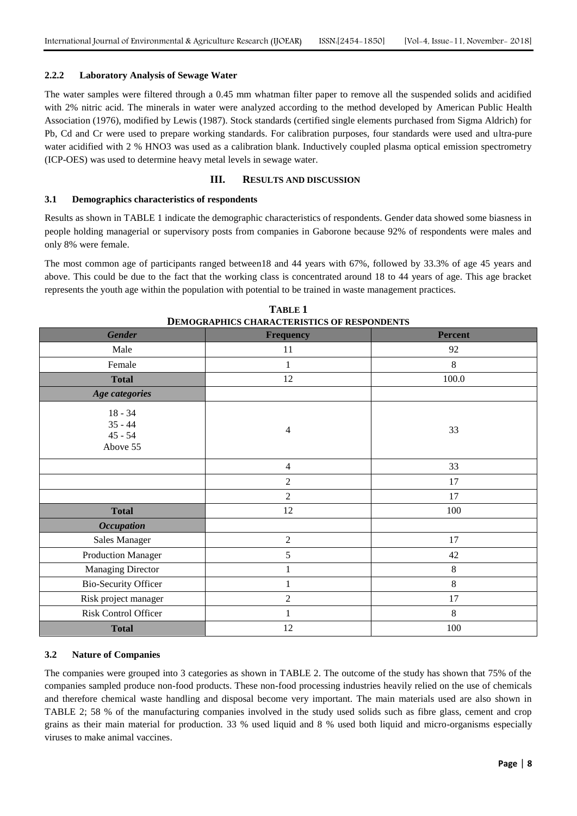## **2.2.2 Laboratory Analysis of Sewage Water**

The water samples were filtered through a 0.45 mm whatman filter paper to remove all the suspended solids and acidified with 2% nitric acid. The minerals in water were analyzed according to the method developed by American Public Health Association (1976), modified by Lewis (1987). Stock standards (certified single elements purchased from Sigma Aldrich) for Pb, Cd and Cr were used to prepare working standards. For calibration purposes, four standards were used and ultra-pure water acidified with 2 % HNO3 was used as a calibration blank. Inductively coupled plasma optical emission spectrometry (ICP-OES) was used to determine heavy metal levels in sewage water.

# **III. RESULTS AND DISCUSSION**

## **3.1 Demographics characteristics of respondents**

Results as shown in TABLE 1 indicate the demographic characteristics of respondents. Gender data showed some biasness in people holding managerial or supervisory posts from companies in Gaborone because 92% of respondents were males and only 8% were female.

The most common age of participants ranged between18 and 44 years with 67%, followed by 33.3% of age 45 years and above. This could be due to the fact that the working class is concentrated around 18 to 44 years of age. This age bracket represents the youth age within the population with potential to be trained in waste management practices.

| <b>Gender</b>                                   | <b>Frequency</b> | <b>Percent</b> |  |
|-------------------------------------------------|------------------|----------------|--|
| Male                                            | 11               | 92             |  |
| Female                                          | 1                | $\,8\,$        |  |
| <b>Total</b>                                    | 12               | 100.0          |  |
| Age categories                                  |                  |                |  |
| $18 - 34$<br>$35 - 44$<br>$45 - 54$<br>Above 55 | $\overline{4}$   | 33             |  |
|                                                 | $\overline{4}$   | 33             |  |
|                                                 | $\overline{2}$   | 17             |  |
|                                                 | $\overline{2}$   | 17             |  |
| <b>Total</b>                                    | 12               | 100            |  |
| <b>Occupation</b>                               |                  |                |  |
| <b>Sales Manager</b>                            | $\overline{2}$   | 17             |  |
| <b>Production Manager</b>                       | 5                | 42             |  |
| <b>Managing Director</b>                        |                  | $\,8\,$        |  |
| <b>Bio-Security Officer</b>                     | 1                | $\,8\,$        |  |
| Risk project manager                            | $\overline{2}$   | 17             |  |
| Risk Control Officer                            | 1                | $\,8\,$        |  |
| <b>Total</b>                                    | 12               | 100            |  |

**TABLE 1 DEMOGRAPHICS CHARACTERISTICS OF RESPONDENTS**

# **3.2 Nature of Companies**

The companies were grouped into 3 categories as shown in TABLE 2. The outcome of the study has shown that 75% of the companies sampled produce non-food products. These non-food processing industries heavily relied on the use of chemicals and therefore chemical waste handling and disposal become very important. The main materials used are also shown in TABLE 2; 58 % of the manufacturing companies involved in the study used solids such as fibre glass, cement and crop grains as their main material for production. 33 % used liquid and 8 % used both liquid and micro-organisms especially viruses to make animal vaccines.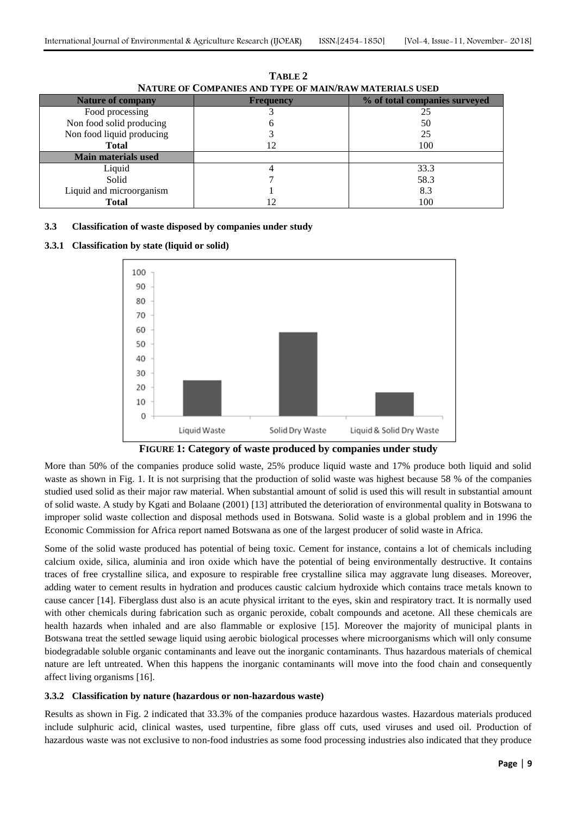| <b>Nature of company</b>   | <b>Frequency</b> | % of total companies surveyed |
|----------------------------|------------------|-------------------------------|
| Food processing            |                  | 25                            |
| Non food solid producing   |                  | 50                            |
| Non food liquid producing  |                  | 25                            |
| <b>Total</b>               |                  | 100                           |
| <b>Main materials used</b> |                  |                               |
| Liquid                     |                  | 33.3                          |
| Solid                      |                  | 58.3                          |
| Liquid and microorganism   |                  | 8.3                           |
| <b>Total</b>               |                  | 100                           |

**TABLE 2 NATURE OF COMPANIES AND TYPE OF MAIN/RAW MATERIALS USED**

# **3.3 Classification of waste disposed by companies under study**

## **3.3.1 Classification by state (liquid or solid)**





More than 50% of the companies produce solid waste, 25% produce liquid waste and 17% produce both liquid and solid waste as shown in Fig. 1. It is not surprising that the production of solid waste was highest because 58 % of the companies studied used solid as their major raw material. When substantial amount of solid is used this will result in substantial amount of solid waste. A study by Kgati and Bolaane (2001) [13] attributed the deterioration of environmental quality in Botswana to improper solid waste collection and disposal methods used in Botswana. Solid waste is a global problem and in 1996 the Economic Commission for Africa report named Botswana as one of the largest producer of solid waste in Africa.

Some of the solid waste produced has potential of being toxic. Cement for instance, contains a lot of chemicals including calcium oxide, silica, aluminia and iron oxide which have the potential of being environmentally destructive. It contains traces of free crystalline silica, and exposure to respirable free crystalline silica may aggravate lung diseases. Moreover, adding water to cement results in hydration and produces caustic calcium hydroxide which contains trace metals known to cause cancer [14]. Fiberglass dust also is an acute physical irritant to the eyes, skin and respiratory tract. It is normally used with other chemicals during fabrication such as organic peroxide, cobalt compounds and acetone. All these chemicals are health hazards when inhaled and are also flammable or explosive [15]. Moreover the majority of municipal plants in Botswana treat the settled sewage liquid using aerobic biological processes where microorganisms which will only consume biodegradable soluble organic contaminants and leave out the inorganic contaminants. Thus hazardous materials of chemical nature are left untreated. When this happens the inorganic contaminants will move into the food chain and consequently affect living organisms [16].

#### **3.3.2 Classification by nature (hazardous or non-hazardous waste)**

Results as shown in Fig. 2 indicated that 33.3% of the companies produce hazardous wastes. Hazardous materials produced include sulphuric acid, clinical wastes, used turpentine, fibre glass off cuts, used viruses and used oil. Production of hazardous waste was not exclusive to non-food industries as some food processing industries also indicated that they produce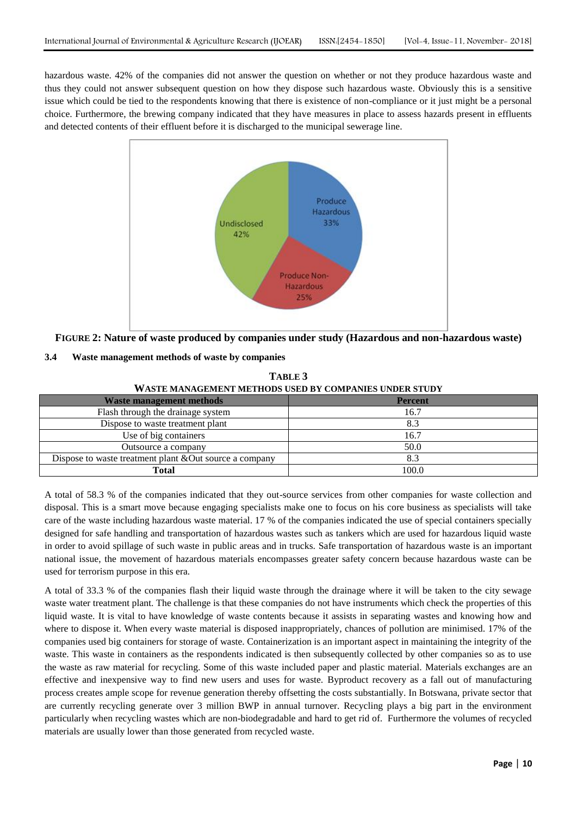hazardous waste. 42% of the companies did not answer the question on whether or not they produce hazardous waste and thus they could not answer subsequent question on how they dispose such hazardous waste. Obviously this is a sensitive issue which could be tied to the respondents knowing that there is existence of non-compliance or it just might be a personal choice. Furthermore, the brewing company indicated that they have measures in place to assess hazards present in effluents and detected contents of their effluent before it is discharged to the municipal sewerage line.



**FIGURE 2: Nature of waste produced by companies under study (Hazardous and non-hazardous waste)**

# **3.4 Waste management methods of waste by companies**

| WASTE MANAGEMENT METHODS USED BY COMPANIES UNDER STUDY |                |  |
|--------------------------------------------------------|----------------|--|
| <b>Waste management methods</b>                        | <b>Percent</b> |  |
| Flash through the drainage system                      | 16.7           |  |
| Dispose to waste treatment plant                       | 8.3            |  |
| Use of big containers                                  | 16.7           |  |
| Outsource a company                                    | 50.0           |  |
| Dispose to waste treatment plant &Out source a company | 8.3            |  |
| <b>Total</b>                                           | 100.0          |  |

**TABLE 3**

A total of 58.3 % of the companies indicated that they out-source services from other companies for waste collection and disposal. This is a smart move because engaging specialists make one to focus on his core business as specialists will take care of the waste including hazardous waste material. 17 % of the companies indicated the use of special containers specially designed for safe handling and transportation of hazardous wastes such as tankers which are used for hazardous liquid waste in order to avoid spillage of such waste in public areas and in trucks. Safe transportation of hazardous waste is an important national issue, the movement of hazardous materials encompasses greater safety concern because hazardous waste can be used for terrorism purpose in this era.

A total of 33.3 % of the companies flash their liquid waste through the drainage where it will be taken to the city sewage waste water treatment plant. The challenge is that these companies do not have instruments which check the properties of this liquid waste. It is vital to have knowledge of waste contents because it assists in separating wastes and knowing how and where to dispose it. When every waste material is disposed inappropriately, chances of pollution are minimised. 17% of the companies used big containers for storage of waste. Containerization is an important aspect in maintaining the integrity of the waste. This waste in containers as the respondents indicated is then subsequently collected by other companies so as to use the waste as raw material for recycling. Some of this waste included paper and plastic material. Materials exchanges are an effective and inexpensive way to find new users and uses for waste. Byproduct recovery as a fall out of manufacturing process creates ample scope for revenue generation thereby offsetting the costs substantially. In Botswana, private sector that are currently recycling generate over 3 million BWP in annual turnover. Recycling plays a big part in the environment particularly when recycling wastes which are non-biodegradable and hard to get rid of. Furthermore the volumes of recycled materials are usually lower than those generated from recycled waste.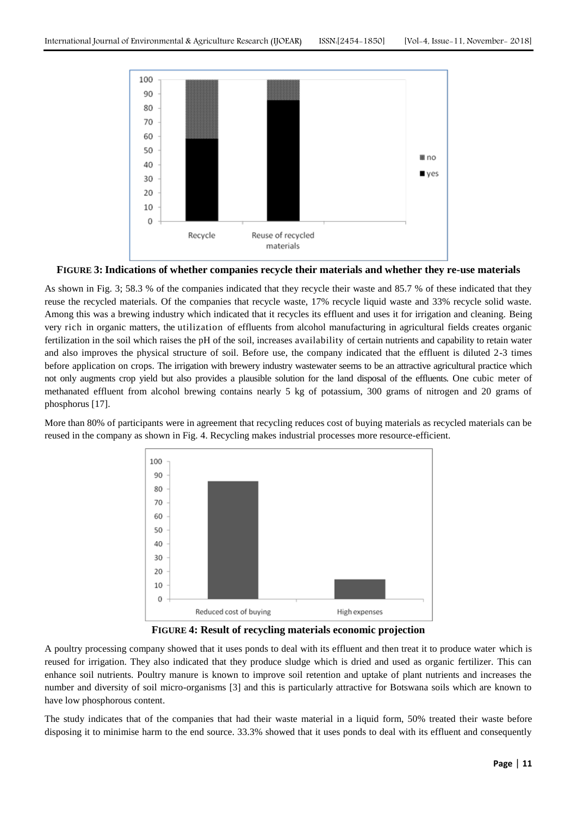

**FIGURE 3: Indications of whether companies recycle their materials and whether they re-use materials**

As shown in Fig. 3; 58.3 % of the companies indicated that they recycle their waste and 85.7 % of these indicated that they reuse the recycled materials. Of the companies that recycle waste, 17% recycle liquid waste and 33% recycle solid waste. Among this was a brewing industry which indicated that it recycles its effluent and uses it for irrigation and cleaning. Being very rich in organic matters, the utilization of effluents from alcohol manufacturing in agricultural fields creates organic fertilization in the soil which raises the pH of the soil, increases availability of certain nutrients and capability to retain water and also improves the physical structure of soil. Before use, the company indicated that the effluent is diluted 2-3 times before application on crops. The irrigation with brewery industry wastewater seems to be an attractive agricultural practice which not only augments crop yield but also provides a plausible solution for the land disposal of the effluents. One cubic meter of methanated effluent from alcohol brewing contains nearly 5 kg of potassium, 300 grams of nitrogen and 20 grams of phosphorus [17].

More than 80% of participants were in agreement that recycling reduces cost of buying materials as recycled materials can be reused in the company as shown in Fig. 4. Recycling makes industrial processes more resource-efficient.



**FIGURE 4: Result of recycling materials economic projection**

A poultry processing company showed that it uses ponds to deal with its effluent and then treat it to produce water which is reused for irrigation. They also indicated that they produce sludge which is dried and used as organic fertilizer. This can enhance soil nutrients. Poultry manure is known to improve soil retention and uptake of plant nutrients and increases the number and diversity of soil micro-organisms [3] and this is particularly attractive for Botswana soils which are known to have low phosphorous content.

The study indicates that of the companies that had their waste material in a liquid form, 50% treated their waste before disposing it to minimise harm to the end source. 33.3% showed that it uses ponds to deal with its effluent and consequently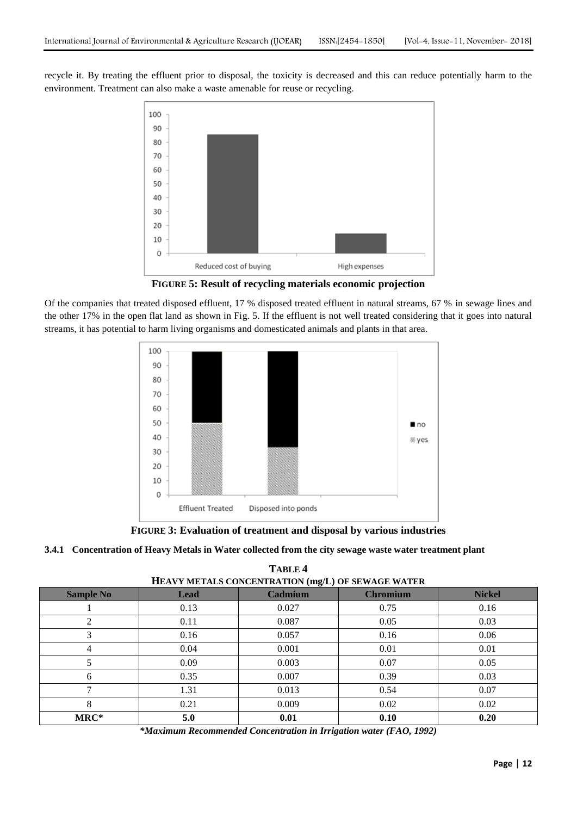recycle it. By treating the effluent prior to disposal, the toxicity is decreased and this can reduce potentially harm to the environment. Treatment can also make a waste amenable for reuse or recycling.



**FIGURE 5: Result of recycling materials economic projection**

Of the companies that treated disposed effluent, 17 % disposed treated effluent in natural streams, 67 % in sewage lines and the other 17% in the open flat land as shown in Fig. 5. If the effluent is not well treated considering that it goes into natural streams, it has potential to harm living organisms and domesticated animals and plants in that area.



**FIGURE 3: Evaluation of treatment and disposal by various industries**

# **3.4.1 Concentration of Heavy Metals in Water collected from the city sewage waste water treatment plant**

**TABLE 4 HEAVY METALS CONCENTRATION (mg/L) OF SEWAGE WATER**

| <b>Sample No</b> | <b>Lead</b> | <b>Cadmium</b> | <b>Chromium</b> | <b>Nickel</b> |  |
|------------------|-------------|----------------|-----------------|---------------|--|
|                  | 0.13        | 0.027          | 0.75            | 0.16          |  |
| 2                | 0.11        | 0.087          | 0.05            | 0.03          |  |
|                  | 0.16        | 0.057          | 0.16            | 0.06          |  |
| 4                | 0.04        | 0.001          | 0.01            | 0.01          |  |
|                  | 0.09        | 0.003          | 0.07            | 0.05          |  |
| 6                | 0.35        | 0.007          | 0.39            | 0.03          |  |
|                  | 1.31        | 0.013          | 0.54            | 0.07          |  |
| 8                | 0.21        | 0.009          | 0.02            | 0.02          |  |
| MRC*             | 5.0         | 0.01           | 0.10            | 0.20          |  |

*\*Maximum Recommended Concentration in Irrigation water (FAO, 1992)*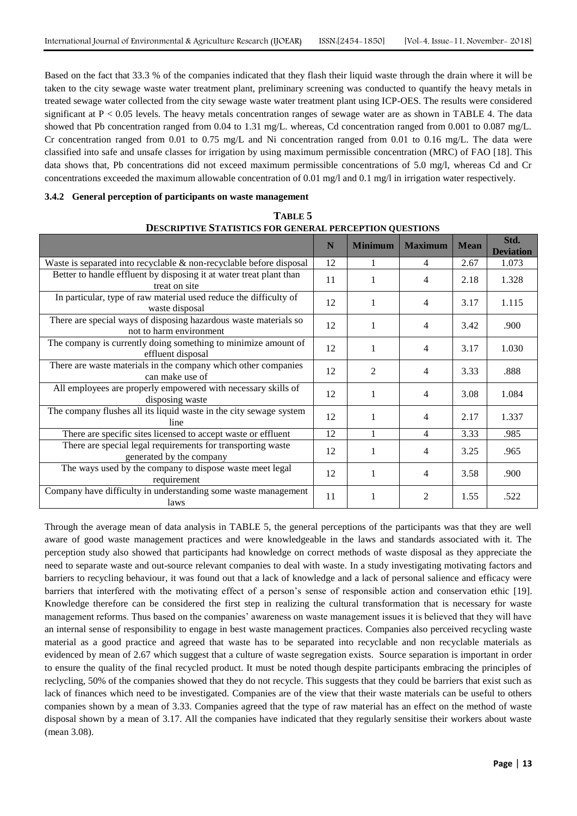Based on the fact that 33.3 % of the companies indicated that they flash their liquid waste through the drain where it will be taken to the city sewage waste water treatment plant, preliminary screening was conducted to quantify the heavy metals in treated sewage water collected from the city sewage waste water treatment plant using ICP-OES. The results were considered significant at  $P < 0.05$  levels. The heavy metals concentration ranges of sewage water are as shown in TABLE 4. The data showed that Pb concentration ranged from 0.04 to 1.31 mg/L. whereas, Cd concentration ranged from 0.001 to 0.087 mg/L. Cr concentration ranged from 0.01 to 0.75 mg/L and Ni concentration ranged from 0.01 to 0.16 mg/L. The data were classified into safe and unsafe classes for irrigation by using maximum permissible concentration (MRC) of FAO [18]. This data shows that, Pb concentrations did not exceed maximum permissible concentrations of 5.0 mg/l, whereas Cd and Cr concentrations exceeded the maximum allowable concentration of 0.01 mg/l and 0.1 mg/l in irrigation water respectively.

# **3.4.2 General perception of participants on waste management**

| DESCRIPTIVE STATISTICS FOR GENERAL PERCEPTION OUESTIONS                                     |    |                |                |             |                          |
|---------------------------------------------------------------------------------------------|----|----------------|----------------|-------------|--------------------------|
|                                                                                             | N  | <b>Minimum</b> | <b>Maximum</b> | <b>Mean</b> | Std.<br><b>Deviation</b> |
| Waste is separated into recyclable $\&$ non-recyclable before disposal                      | 12 |                | 4              | 2.67        | 1.073                    |
| Better to handle effluent by disposing it at water treat plant than<br>treat on site        | 11 | 1              | 4              | 2.18        | 1.328                    |
| In particular, type of raw material used reduce the difficulty of<br>waste disposal         | 12 | 1              | 4              | 3.17        | 1.115                    |
| There are special ways of disposing hazardous waste materials so<br>not to harm environment | 12 | 1              | 4              | 3.42        | .900                     |
| The company is currently doing something to minimize amount of<br>effluent disposal         | 12 | 1              | 4              | 3.17        | 1.030                    |
| There are waste materials in the company which other companies<br>can make use of           | 12 | 2              | 4              | 3.33        | .888                     |
| All employees are properly empowered with necessary skills of<br>disposing waste            | 12 | 1              | 4              | 3.08        | 1.084                    |
| The company flushes all its liquid waste in the city sewage system<br>line                  | 12 | 1              | 4              | 2.17        | 1.337                    |
| There are specific sites licensed to accept waste or effluent                               | 12 |                | 4              | 3.33        | .985                     |
| There are special legal requirements for transporting waste<br>generated by the company     | 12 |                | 4              | 3.25        | .965                     |
| The ways used by the company to dispose waste meet legal<br>requirement                     | 12 | 1              | 4              | 3.58        | .900                     |
| Company have difficulty in understanding some waste management<br>laws                      | 11 |                | 2              | 1.55        | .522                     |

| TABLE 5                                                        |
|----------------------------------------------------------------|
| <b>DESCRIPTIVE STATISTICS FOR GENERAL PERCEPTION QUESTIONS</b> |

Through the average mean of data analysis in TABLE 5, the general perceptions of the participants was that they are well aware of good waste management practices and were knowledgeable in the laws and standards associated with it. The perception study also showed that participants had knowledge on correct methods of waste disposal as they appreciate the need to separate waste and out-source relevant companies to deal with waste. In a study investigating motivating factors and barriers to recycling behaviour, it was found out that a lack of knowledge and a lack of personal salience and efficacy were barriers that interfered with the motivating effect of a person's sense of responsible action and conservation ethic [19]. Knowledge therefore can be considered the first step in realizing the cultural transformation that is necessary for waste management reforms. Thus based on the companies' awareness on waste management issues it is believed that they will have an internal sense of responsibility to engage in best waste management practices. Companies also perceived recycling waste material as a good practice and agreed that waste has to be separated into recyclable and non recyclable materials as evidenced by mean of 2.67 which suggest that a culture of waste segregation exists. Source separation is important in order to ensure the quality of the final recycled product. It must be noted though despite participants embracing the principles of reclycling, 50% of the companies showed that they do not recycle. This suggests that they could be barriers that exist such as lack of finances which need to be investigated. Companies are of the view that their waste materials can be useful to others companies shown by a mean of 3.33. Companies agreed that the type of raw material has an effect on the method of waste disposal shown by a mean of 3.17. All the companies have indicated that they regularly sensitise their workers about waste (mean 3.08).